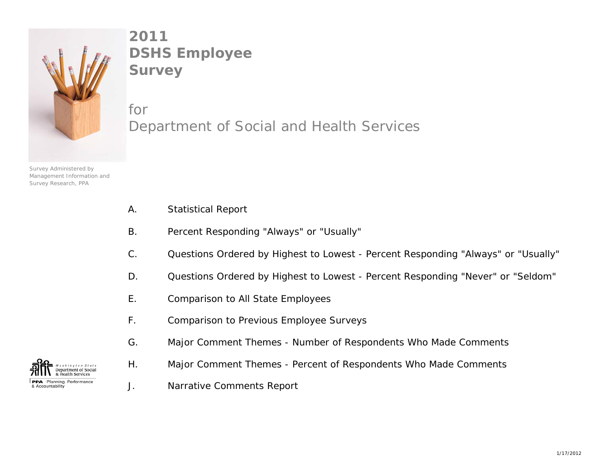

Survey Administered by Management Information and Survey Research, PPA

# **2011 DSHS Employee Survey**

for Department of Social and Health Services

- A. Statistical Report
- B. Percent Responding "Always" or "Usually"
- C. Questions Ordered by Highest to Lowest Percent Responding "Always" or "Usually"
- D. Questions Ordered by Highest to Lowest Percent Responding "Never" or "Seldom"
- E. Comparison to All State Employees
- F. Comparison to Previous Employee Surveys
- G. Major Comment Themes Number of Respondents Who Made Comments
- H. Major Comment Themes Percent of Respondents Who Made Comments
- J. Narrative Comments Report

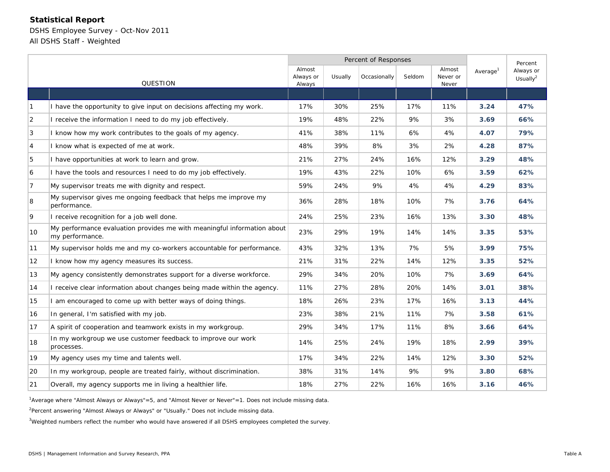## **Statistical Report**

DSHS Employee Survey - Oct-Nov 2011 All DSHS Staff - Weighted

|                |                                                                                            |                               | Percent of Responses |              |        |                             |                      | Percent                  |
|----------------|--------------------------------------------------------------------------------------------|-------------------------------|----------------------|--------------|--------|-----------------------------|----------------------|--------------------------|
|                | QUESTION                                                                                   | Almost<br>Always or<br>Always | Usually              | Occasionally | Seldom | Almost<br>Never or<br>Never | Average <sup>1</sup> | Always or<br>Usually $2$ |
|                |                                                                                            |                               |                      |              |        |                             |                      |                          |
| $\vert$ 1      | I have the opportunity to give input on decisions affecting my work.                       | 17%                           | 30%                  | 25%          | 17%    | 11%                         | 3.24                 | 47%                      |
| 2              | I receive the information I need to do my job effectively.                                 | 19%                           | 48%                  | 22%          | 9%     | 3%                          | 3.69                 | 66%                      |
| 3              | I know how my work contributes to the goals of my agency.                                  | 41%                           | 38%                  | 11%          | 6%     | 4%                          | 4.07                 | 79%                      |
| 4              | I know what is expected of me at work.                                                     | 48%                           | 39%                  | 8%           | 3%     | 2%                          | 4.28                 | 87%                      |
| 5              | I have opportunities at work to learn and grow.                                            | 21%                           | 27%                  | 24%          | 16%    | 12%                         | 3.29                 | 48%                      |
| 6              | I have the tools and resources I need to do my job effectively.                            | 19%                           | 43%                  | 22%          | 10%    | 6%                          | 3.59                 | 62%                      |
| $\overline{7}$ | My supervisor treats me with dignity and respect.                                          | 59%                           | 24%                  | 9%           | 4%     | 4%                          | 4.29                 | 83%                      |
| 8              | My supervisor gives me ongoing feedback that helps me improve my<br>performance.           | 36%                           | 28%                  | 18%          | 10%    | 7%                          | 3.76                 | 64%                      |
| 9              | I receive recognition for a job well done.                                                 | 24%                           | 25%                  | 23%          | 16%    | 13%                         | 3.30                 | 48%                      |
| 10             | My performance evaluation provides me with meaningful information about<br>my performance. | 23%                           | 29%                  | 19%          | 14%    | 14%                         | 3.35                 | 53%                      |
| 11             | My supervisor holds me and my co-workers accountable for performance.                      | 43%                           | 32%                  | 13%          | 7%     | 5%                          | 3.99                 | 75%                      |
| 12             | I know how my agency measures its success.                                                 | 21%                           | 31%                  | 22%          | 14%    | 12%                         | 3.35                 | 52%                      |
| 13             | My agency consistently demonstrates support for a diverse workforce.                       | 29%                           | 34%                  | 20%          | 10%    | 7%                          | 3.69                 | 64%                      |
| 14             | I receive clear information about changes being made within the agency.                    | 11%                           | 27%                  | 28%          | 20%    | 14%                         | 3.01                 | 38%                      |
| 15             | I am encouraged to come up with better ways of doing things.                               | 18%                           | 26%                  | 23%          | 17%    | 16%                         | 3.13                 | 44%                      |
| 16             | In general, I'm satisfied with my job.                                                     | 23%                           | 38%                  | 21%          | 11%    | 7%                          | 3.58                 | 61%                      |
| 17             | A spirit of cooperation and teamwork exists in my workgroup.                               | 29%                           | 34%                  | 17%          | 11%    | 8%                          | 3.66                 | 64%                      |
| 18             | In my workgroup we use customer feedback to improve our work<br>processes.                 | 14%                           | 25%                  | 24%          | 19%    | 18%                         | 2.99                 | 39%                      |
| 19             | My agency uses my time and talents well.                                                   | 17%                           | 34%                  | 22%          | 14%    | 12%                         | 3.30                 | 52%                      |
| 20             | In my workgroup, people are treated fairly, without discrimination.                        | 38%                           | 31%                  | 14%          | 9%     | 9%                          | 3.80                 | 68%                      |
| 21             | Overall, my agency supports me in living a healthier life.                                 | 18%                           | 27%                  | 22%          | 16%    | 16%                         | 3.16                 | 46%                      |

<sup>1</sup>Average where "Almost Always or Always"=5, and "Almost Never or Never"=1. Does not include missing data.

<sup>2</sup>Percent answering "Almost Always or Always" or "Usually." Does not include missing data.

<sup>3</sup>Weighted numbers reflect the number who would have answered if all DSHS employees completed the survey.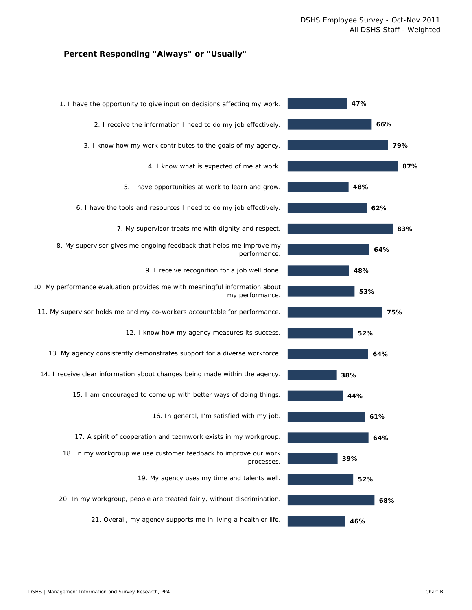### **Percent Responding "Always" or "Usually"**

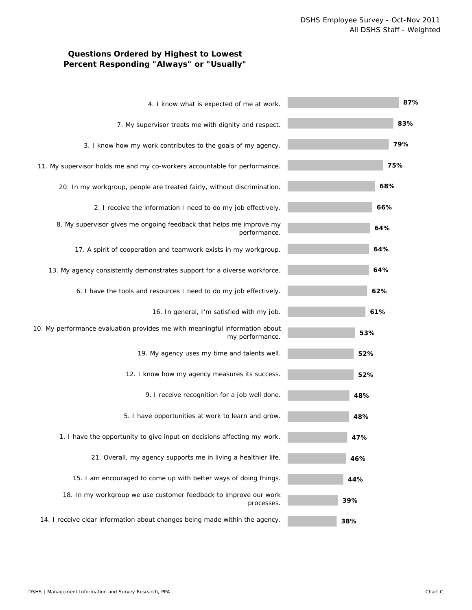## **Questions Ordered by Highest to Lowest Percent Responding "Always" or "Usually"**

| 87% | 4. I know what is expected of me at work.                                                      |
|-----|------------------------------------------------------------------------------------------------|
| 83% | 7. My supervisor treats me with dignity and respect.                                           |
| 79% | 3. I know how my work contributes to the goals of my agency.                                   |
| 75% | 11. My supervisor holds me and my co-workers accountable for performance.                      |
| 68% | 20. In my workgroup, people are treated fairly, without discrimination.                        |
| 66% | 2. I receive the information I need to do my job effectively.                                  |
| 64% | 8. My supervisor gives me ongoing feedback that helps me improve my<br>performance.            |
| 64% | 17. A spirit of cooperation and teamwork exists in my workgroup.                               |
| 64% | 13. My agency consistently demonstrates support for a diverse workforce.                       |
| 62% | 6. I have the tools and resources I need to do my job effectively.                             |
| 61% | 16. In general, I'm satisfied with my job.                                                     |
| 53% | 10. My performance evaluation provides me with meaningful information about<br>my performance. |
| 52% | 19. My agency uses my time and talents well.                                                   |
| 52% | 12. I know how my agency measures its success.                                                 |
| 48% | 9. I receive recognition for a job well done.                                                  |
| 48% | 5. I have opportunities at work to learn and grow.                                             |
| 47% | 1. I have the opportunity to give input on decisions affecting my work.                        |
| 46% | 21. Overall, my agency supports me in living a healthier life.                                 |
| 44% | 15. I am encouraged to come up with better ways of doing things.                               |
| 39% | 18. In my workgroup we use customer feedback to improve our work<br>processes.                 |
| 38% | 14. I receive clear information about changes being made within the agency.                    |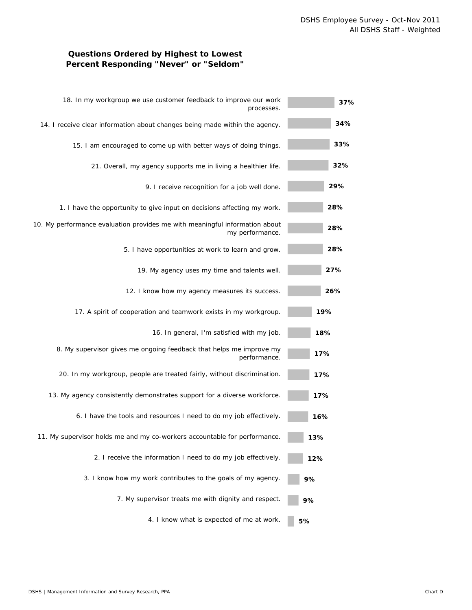## **Questions Ordered by Highest to Lowest Percent Responding "Never" or "Seldom"**

| 37% | 18. In my workgroup we use customer feedback to improve our work<br>processes.                 |  |  |  |  |
|-----|------------------------------------------------------------------------------------------------|--|--|--|--|
| 34% | 14. I receive clear information about changes being made within the agency.                    |  |  |  |  |
| 33% | 15. I am encouraged to come up with better ways of doing things.                               |  |  |  |  |
| 32% | 21. Overall, my agency supports me in living a healthier life.                                 |  |  |  |  |
| 29% | 9. I receive recognition for a job well done.                                                  |  |  |  |  |
| 28% | 1. I have the opportunity to give input on decisions affecting my work.                        |  |  |  |  |
| 28% | 10. My performance evaluation provides me with meaningful information about<br>my performance. |  |  |  |  |
| 28% | 5. I have opportunities at work to learn and grow.                                             |  |  |  |  |
| 27% | 19. My agency uses my time and talents well.                                                   |  |  |  |  |
| 26% | 12. I know how my agency measures its success.                                                 |  |  |  |  |
| 19% | 17. A spirit of cooperation and teamwork exists in my workgroup.                               |  |  |  |  |
| 18% | 16. In general, I'm satisfied with my job.                                                     |  |  |  |  |
| 17% | 8. My supervisor gives me ongoing feedback that helps me improve my<br>performance.            |  |  |  |  |
| 17% | 20. In my workgroup, people are treated fairly, without discrimination.                        |  |  |  |  |
| 17% | 13. My agency consistently demonstrates support for a diverse workforce.                       |  |  |  |  |
| 16% | 6. I have the tools and resources I need to do my job effectively.                             |  |  |  |  |
| 13% | 11. My supervisor holds me and my co-workers accountable for performance.                      |  |  |  |  |
| 12% | 2. I receive the information I need to do my job effectively.                                  |  |  |  |  |
| 9%  | 3. I know how my work contributes to the goals of my agency.                                   |  |  |  |  |
| 9%  | 7. My supervisor treats me with dignity and respect.                                           |  |  |  |  |
| 5%  | 4. I know what is expected of me at work.                                                      |  |  |  |  |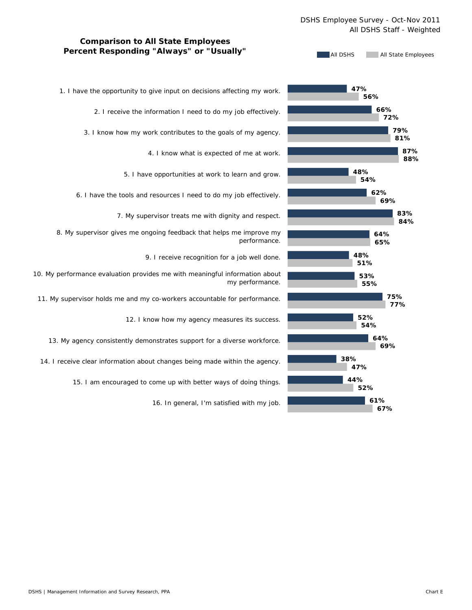### DSHS Employee Survey - Oct-Nov 2011 All DSHS Staff - Weighted

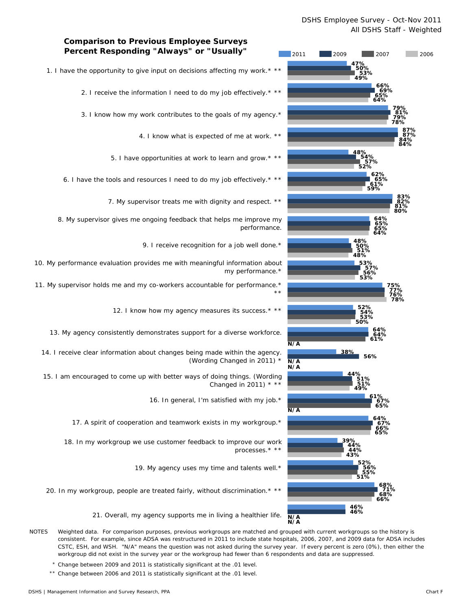## DSHS Employee Survey - Oct-Nov 2011 All DSHS Staff - Weighted



## **Comparison to Previous Employee Surveys Percent Responding "Always" or "Usually"**

- 1. I have the opportunity to give input on decisions affecting my work. $*$ 
	- 2. I receive the information I need to do my job effectively.\* \*\*
	- 3. I know how my work contributes to the goals of my agency.\*
		- 4. I know what is expected of me at work. \*\*
		- 5. I have opportunities at work to learn and grow.\* \*\*
	- 6. I have the tools and resources I need to do my job effectively.\* \*\*
		- 7. My supervisor treats me with dignity and respect. \*\*

8. My supervisor gives me ongoing feedback that helps me improve my performance.

- 9. I receive recognition for a job well done.\*
- 10. My performance evaluation provides me with meaningful information about my performance.\*
- 11. My supervisor holds me and my co-workers accountable for performance.\*
	- 12. I know how my agency measures its success.\* \*\*
	- 13. My agency consistently demonstrates support for a diverse workforce.
	- 14. I receive clear information about changes being made within the agency. (Wording Changed in 2011) \*
	- 15. I am encouraged to come up with better ways of doing things. (Wording Changed in 2011)  $*$ 
		- 16. In general, I'm satisfied with my job.\*
		- 17. A spirit of cooperation and teamwork exists in my workgroup.\*
		- 18. In my workgroup we use customer feedback to improve our work processes.\* \*\*
			- 19. My agency uses my time and talents well.\*
	- 20. In my workgroup, people are treated fairly, without discrimination.\* \*\*
		- 21. Overall, my agency supports me in living a healthier life.
- **NOTES** Weighted data. For comparison purposes, previous workgroups are matched and grouped with current workgroups so the history is consistent. For example, since ADSA was restructured in 2011 to include state hospitals, 2006, 2007, and 2009 data for ADSA includes CSTC, ESH, and WSH. "N/A" means the question was not asked during the survey year. If every percent is zero (0%), then either the workgroup did not exist in the survey year or the workgroup had fewer than 6 respondents and data are suppressed.
	- \* Change between 2009 and 2011 is statistically significant at the .01 level.
	- \*\* Change between 2006 and 2011 is statistically significant at the .01 level.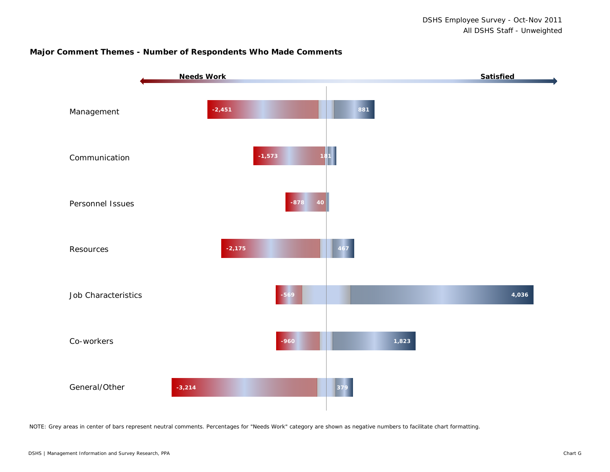### **Major Comment Themes - Number of Respondents Who Made Comments**



NOTE: Grey areas in center of bars represent neutral comments. Percentages for "Needs Work" category are shown as negative numbers to facilitate chart formatting.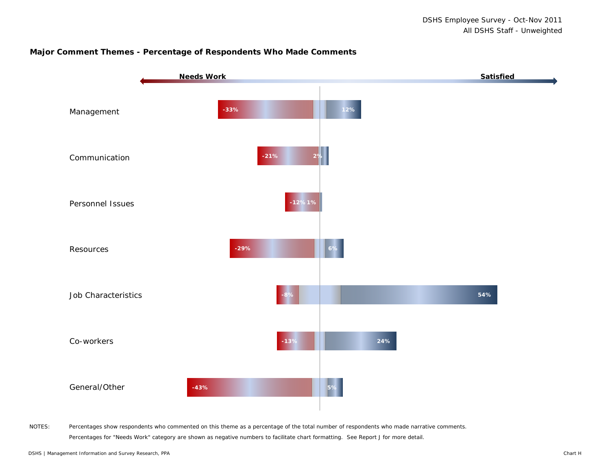#### **Major Comment Themes - Percentage of Respondents Who Made Comments**



NOTES: Percentages show respondents who commented on this theme as a percentage of the total number of respondents who made narrative comments. Percentages for "Needs Work" category are shown as negative numbers to facilitate chart formatting. See Report J for more detail.